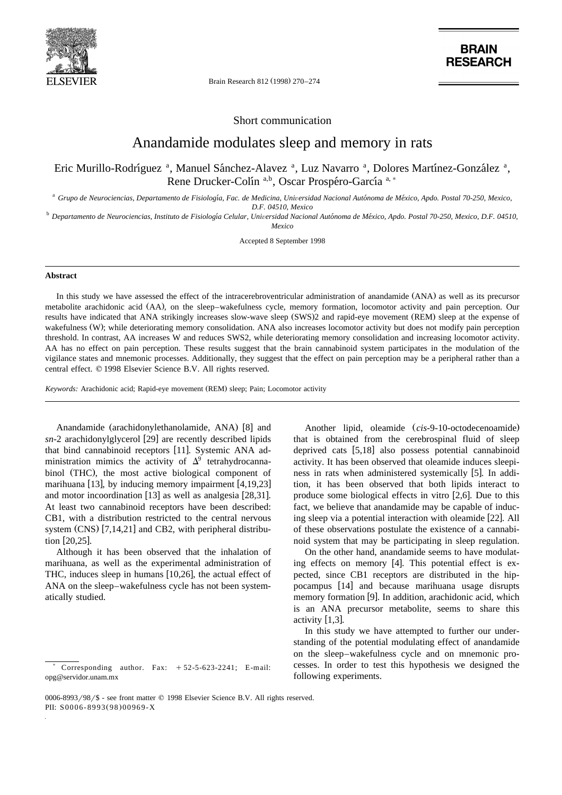

Brain Research 812 (1998) 270-274

**BRAIN RESEARCH** 

Short communication

## Anandamide modulates sleep and memory in rats

Eric Murillo-Rodríguez<sup>a</sup>, Manuel Sánchez-Alavez<sup>a</sup>, Luz Navarro<sup>a</sup>, Dolores Martínez-González<sup>a</sup>, Rene Drucker-Colín<sup>a,b</sup>, Oscar Prospéro-García<sup>a,\*</sup>

<sup>a</sup> Grupo de Neurociencias, Departamento de Fisiología, Fac. de Medicina, Universidad Nacional Autónoma de México, Apdo. Postal 70-250, Mexico,

*D.F. 04510, Mexico* <sup>b</sup> *Departamento de Neurociencias, Instituto de Fisiologıa Celular, Uni* ´ ´´ <sup>Õ</sup>*ersidad Nacional Autonoma de Mexico, Apdo. Postal 70-250, Mexico, D.F. 04510, Mexico*

Accepted 8 September 1998

## **Abstract**

In this study we have assessed the effect of the intracerebroventricular administration of anandamide (ANA) as well as its precursor metabolite arachidonic acid (AA), on the sleep–wakefulness cycle, memory formation, locomotor activity and pain perception. Our results have indicated that ANA strikingly increases slow-wave sleep (SWS)2 and rapid-eye movement (REM) sleep at the expense of wakefulness (W); while deteriorating memory consolidation. ANA also increases locomotor activity but does not modify pain perception threshold. In contrast, AA increases W and reduces SWS2, while deteriorating memory consolidation and increasing locomotor activity. AA has no effect on pain perception. These results suggest that the brain cannabinoid system participates in the modulation of the vigilance states and mnemonic processes. Additionally, they suggest that the effect on pain perception may be a peripheral rather than a central effect.  $© 1998$  Elsevier Science B.V. All rights reserved.

*Keywords:* Arachidonic acid; Rapid-eye movement (REM) sleep; Pain; Locomotor activity

Anandamide (arachidonylethanolamide, ANA) [8] and  $sn-2$  arachidonylglycerol [29] are recently described lipids that bind cannabinoid receptors [11]. Systemic ANA administration mimics the activity of  $\Delta^9$  tetrahydrocannabinol (THC), the most active biological component of marihuana  $[13]$ , by inducing memory impairment  $[4,19,23]$ and motor incoordination  $[13]$  as well as analgesia  $[28,31]$ . At least two cannabinoid receptors have been described: CB1, with a distribution restricted to the central nervous system  $(CNS)$  [7,14,21] and CB2, with peripheral distribution  $[20, 25]$ .

Although it has been observed that the inhalation of marihuana, as well as the experimental administration of THC, induces sleep in humans  $[10,26]$ , the actual effect of ANA on the sleep–wakefulness cycle has not been systematically studied.

Another lipid, oleamide (*cis*-9-10-octodecenoamide) that is obtained from the cerebrospinal fluid of sleep deprived cats  $[5,18]$  also possess potential cannabinoid activity. It has been observed that oleamide induces sleepiness in rats when administered systemically [5]. In addition, it has been observed that both lipids interact to produce some biological effects in vitro [2,6]. Due to this fact, we believe that anandamide may be capable of inducing sleep via a potential interaction with oleamide  $[22]$ . All of these observations postulate the existence of a cannabinoid system that may be participating in sleep regulation.

On the other hand, anandamide seems to have modulating effects on memory  $[4]$ . This potential effect is expected, since CB1 receptors are distributed in the hippocampus [14] and because marihuana usage disrupts memory formation [9]. In addition, arachidonic acid, which is an ANA precursor metabolite, seems to share this activity  $[1,3]$ .

In this study we have attempted to further our understanding of the potential modulating effect of anandamide on the sleep–wakefulness cycle and on mnemonic processes. In order to test this hypothesis we designed the following experiments.

Corresponding author. Fax:  $+52-5-623-2241$ ; E-mail: opg@servidor.unam.mx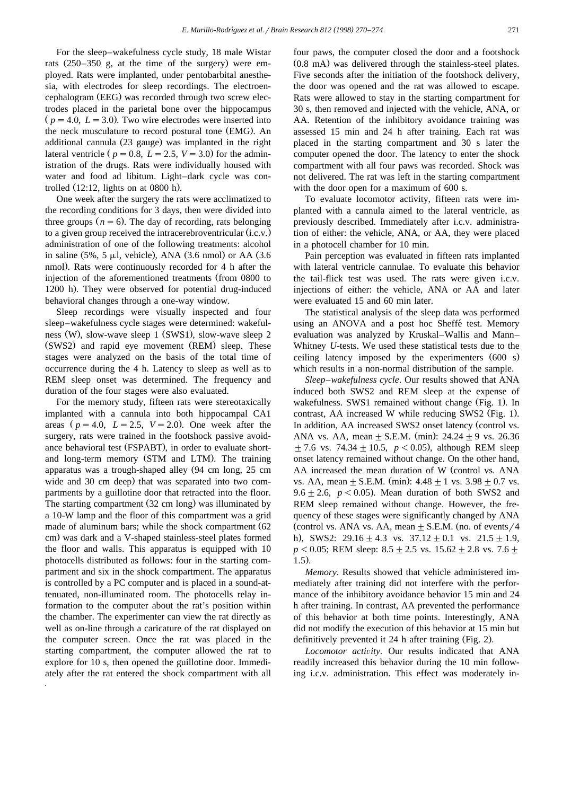For the sleep–wakefulness cycle study, 18 male Wistar rats  $(250-350)$  g, at the time of the surgery were employed. Rats were implanted, under pentobarbital anesthesia, with electrodes for sleep recordings. The electroencephalogram (EEG) was recorded through two screw electrodes placed in the parietal bone over the hippocampus  $p = 4.0, L = 3.0$ . Two wire electrodes were inserted into the neck musculature to record postural tone (EMG). An additional cannula (23 gauge) was implanted in the right lateral ventricle ( $p = 0.8$ ,  $L = 2.5$ ,  $V = 3.0$ ) for the administration of the drugs. Rats were individually housed with water and food ad libitum. Light–dark cycle was controlled  $(12:12, \text{ lights on at } 0800 \text{ h})$ .

One week after the surgery the rats were acclimatized to the recording conditions for 3 days, then were divided into three groups  $(n = 6)$ . The day of recording, rats belonging to a given group received the intracerebroventricular  $(i.c.v.)$ administration of one of the following treatments: alcohol in saline  $(5\%, 5 \mu l,$  vehicle), ANA  $(3.6 \text{ nmol})$  or AA  $(3.6 \text{ nmol})$ nmol). Rats were continuously recorded for 4 h after the injection of the aforementioned treatments (from 0800 to 1200 h). They were observed for potential drug-induced behavioral changes through a one-way window.

Sleep recordings were visually inspected and four sleep–wakefulness cycle stages were determined: wakefulness (W), slow-wave sleep 1 (SWS1), slow-wave sleep 2 (SWS2) and rapid eye movement (REM) sleep. These stages were analyzed on the basis of the total time of occurrence during the 4 h. Latency to sleep as well as to REM sleep onset was determined. The frequency and duration of the four stages were also evaluated.

For the memory study, fifteen rats were stereotaxically implanted with a cannula into both hippocampal CA1 areas  $(p = 4.0, L = 2.5, V = 2.0)$ . One week after the surgery, rats were trained in the footshock passive avoidance behavioral test (FSPABT), in order to evaluate shortand long-term memory (STM and LTM). The training apparatus was a trough-shaped alley (94 cm long, 25 cm wide and 30 cm deep) that was separated into two compartments by a guillotine door that retracted into the floor. The starting compartment (32 cm long) was illuminated by a 10-W lamp and the floor of this compartment was a grid made of aluminum bars; while the shock compartment  $(62)$ cm) was dark and a V-shaped stainless-steel plates formed the floor and walls. This apparatus is equipped with 10 photocells distributed as follows: four in the starting compartment and six in the shock compartment. The apparatus is controlled by a PC computer and is placed in a sound-attenuated, non-illuminated room. The photocells relay information to the computer about the rat's position within the chamber. The experimenter can view the rat directly as well as on-line through a caricature of the rat displayed on the computer screen. Once the rat was placed in the starting compartment, the computer allowed the rat to explore for 10 s, then opened the guillotine door. Immediately after the rat entered the shock compartment with all

four paws, the computer closed the door and a footshock  $(0.8 \text{ mA})$  was delivered through the stainless-steel plates. Five seconds after the initiation of the footshock delivery, the door was opened and the rat was allowed to escape. Rats were allowed to stay in the starting compartment for 30 s, then removed and injected with the vehicle, ANA, or AA. Retention of the inhibitory avoidance training was assessed 15 min and 24 h after training. Each rat was placed in the starting compartment and 30 s later the computer opened the door. The latency to enter the shock compartment with all four paws was recorded. Shock was not delivered. The rat was left in the starting compartment with the door open for a maximum of 600 s.

To evaluate locomotor activity, fifteen rats were implanted with a cannula aimed to the lateral ventricle, as previously described. Immediately after i.c.v. administration of either: the vehicle, ANA, or AA, they were placed in a photocell chamber for 10 min.

Pain perception was evaluated in fifteen rats implanted with lateral ventricle cannulae. To evaluate this behavior the tail-flick test was used. The rats were given i.c.v. injections of either: the vehicle, ANA or AA and later were evaluated 15 and 60 min later.

The statistical analysis of the sleep data was performed using an ANOVA and a post hoc Sheffé test. Memory evaluation was analyzed by Kruskal–Wallis and Mann– Whitney *U*-tests. We used these statistical tests due to the ceiling latency imposed by the experimenters  $(600 \text{ s})$ which results in a non-normal distribution of the sample.

*Sleep–wakefulness cycle*. Our results showed that ANA induced both SWS2 and REM sleep at the expense of wakefulness. SWS1 remained without change (Fig. 1). In contrast, AA increased W while reducing SWS2 (Fig. 1). In addition, AA increased SWS2 onset latency (control vs. ANA vs. AA, mean  $\pm$  S.E.M. (min): 24.24  $\pm$  9 vs. 26.36  $\pm$  7.6 vs. 74.34  $\pm$  10.5, *p* < 0.05), although REM sleep onset latency remained without change. On the other hand, AA increased the mean duration of W (control vs. ANA vs. AA, mean  $\pm$  S.E.M. (min): 4.48  $\pm$  1 vs. 3.98  $\pm$  0.7 vs.  $9.6 \pm 2.6$ ,  $p < 0.05$ ). Mean duration of both SWS2 and REM sleep remained without change. However, the frequency of these stages were significantly changed by ANA (control vs. ANA vs. AA, mean  $\pm$  S.E.M. (no. of events/4 h), SWS2:  $29.16 \pm 4.3$  vs.  $37.12 \pm 0.1$  vs.  $21.5 \pm 1.9$ ,  $p < 0.05$ ; REM sleep:  $8.5 + 2.5$  vs.  $15.62 + 2.8$  vs.  $7.6 +$  $1.5)$ .

*Memory*. Results showed that vehicle administered immediately after training did not interfere with the performance of the inhibitory avoidance behavior 15 min and 24 h after training. In contrast, AA prevented the performance of this behavior at both time points. Interestingly, ANA did not modify the execution of this behavior at 15 min but definitively prevented it  $24$  h after training (Fig. 2).

Locomotor activity. Our results indicated that ANA readily increased this behavior during the 10 min following i.c.v. administration. This effect was moderately in-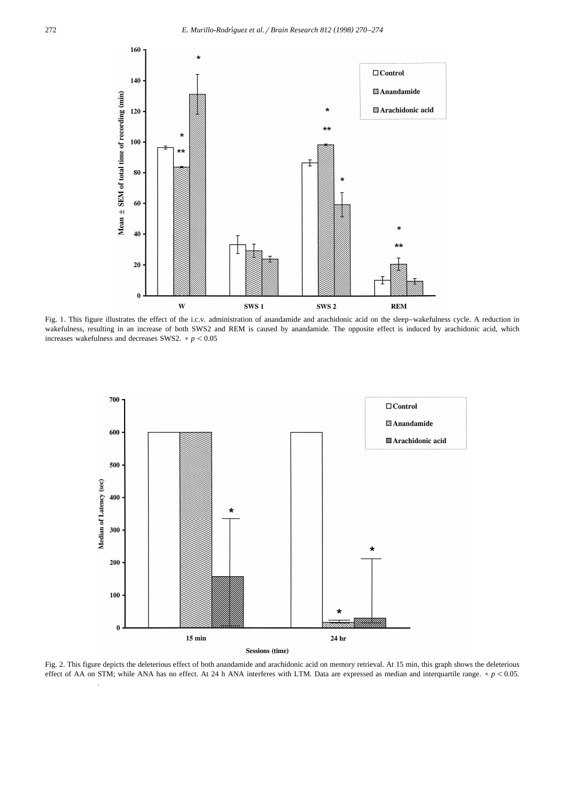

Fig. 1. This figure illustrates the effect of the i.c.v. administration of anandamide and arachidonic acid on the sleep–wakefulness cycle. A reduction in wakefulness, resulting in an increase of both SWS2 and REM is caused by anandamide. The opposite effect is induced by arachidonic acid, which increases wakefulness and decreases SWS2.  $\ast$   $p$  < 0.05



Fig. 2. This figure depicts the deleterious effect of both anandamide and arachidonic acid on memory retrieval. At 15 min, this graph shows the deleterious effect of AA on STM; while ANA has no effect. At 24 h ANA interferes with LTM. Data are expressed as median and interquartile range.  $p < 0.05$ .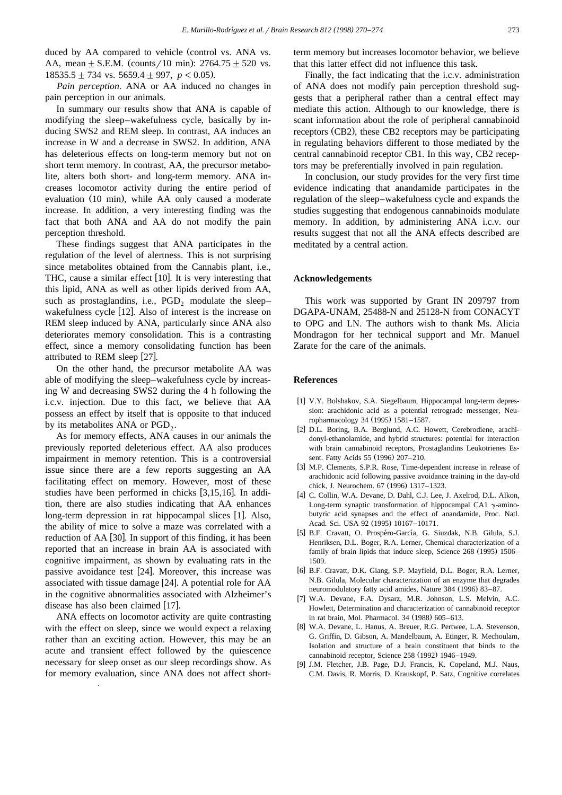duced by AA compared to vehicle (control vs. ANA vs. AA, mean  $+$  S.E.M. (counts / 10 min): 2764.75  $+$  520 vs.  $18535.5 \pm 734$  vs. 5659.4  $\pm$  997, *p* < 0.05).

*Pain perception*. ANA or AA induced no changes in pain perception in our animals.

In summary our results show that ANA is capable of modifying the sleep–wakefulness cycle, basically by inducing SWS2 and REM sleep. In contrast, AA induces an increase in W and a decrease in SWS2. In addition, ANA has deleterious effects on long-term memory but not on short term memory. In contrast, AA, the precursor metabolite, alters both short- and long-term memory. ANA increases locomotor activity during the entire period of evaluation (10 min), while AA only caused a moderate increase. In addition, a very interesting finding was the fact that both ANA and AA do not modify the pain perception threshold.

These findings suggest that ANA participates in the regulation of the level of alertness. This is not surprising since metabolites obtained from the Cannabis plant, i.e., THC, cause a similar effect [10]. It is very interesting that this lipid, ANA as well as other lipids derived from AA, such as prostaglandins, i.e.,  $PGD_2$  modulate the sleepwakefulness cycle  $[12]$ . Also of interest is the increase on REM sleep induced by ANA, particularly since ANA also deteriorates memory consolidation. This is a contrasting effect, since a memory consolidating function has been attributed to REM sleep [27].

On the other hand, the precursor metabolite AA was able of modifying the sleep–wakefulness cycle by increasing W and decreasing SWS2 during the 4 h following the i.c.v. injection. Due to this fact, we believe that AA possess an effect by itself that is opposite to that induced by its metabolites ANA or  $PGD<sub>2</sub>$ .

As for memory effects, ANA causes in our animals the previously reported deleterious effect. AA also produces impairment in memory retention. This is a controversial issue since there are a few reports suggesting an AA facilitating effect on memory. However, most of these studies have been performed in chicks  $[3,15,16]$ . In addition, there are also studies indicating that AA enhances long-term depression in rat hippocampal slices [1]. Also, the ability of mice to solve a maze was correlated with a reduction of AA [30]. In support of this finding, it has been reported that an increase in brain AA is associated with cognitive impairment, as shown by evaluating rats in the passive avoidance test [24]. Moreover, this increase was associated with tissue damage [24]. A potential role for AA in the cognitive abnormalities associated with Alzheimer's disease has also been claimed [17].

ANA effects on locomotor activity are quite contrasting with the effect on sleep, since we would expect a relaxing rather than an exciting action. However, this may be an acute and transient effect followed by the quiescence necessary for sleep onset as our sleep recordings show. As for memory evaluation, since ANA does not affect shortterm memory but increases locomotor behavior, we believe that this latter effect did not influence this task.

Finally, the fact indicating that the i.c.v. administration of ANA does not modify pain perception threshold suggests that a peripheral rather than a central effect may mediate this action. Although to our knowledge, there is scant information about the role of peripheral cannabinoid receptors (CB2), these CB2 receptors may be participating in regulating behaviors different to those mediated by the central cannabinoid receptor CB1. In this way, CB2 receptors may be preferentially involved in pain regulation.

In conclusion, our study provides for the very first time evidence indicating that anandamide participates in the regulation of the sleep–wakefulness cycle and expands the studies suggesting that endogenous cannabinoids modulate memory. In addition, by administering ANA i.c.v. our results suggest that not all the ANA effects described are meditated by a central action.

## **Acknowledgements**

This work was supported by Grant IN 209797 from DGAPA-UNAM, 25488-N and 25128-N from CONACYT to OPG and LN. The authors wish to thank Ms. Alicia Mondragon for her technical support and Mr. Manuel Zarate for the care of the animals.

## **References**

- [1] V.Y. Bolshakov, S.A. Siegelbaum, Hippocampal long-term depression: arachidonic acid as a potential retrograde messenger, Neuropharmacology 34 (1995) 1581–1587.
- [2] D.L. Boring, B.A. Berglund, A.C. Howett, Cerebrodiene, arachidonyl-ethanolamide, and hybrid structures: potential for interaction with brain cannabinoid receptors, Prostaglandins Leukotrienes Essent. Fatty Acids 55 (1996) 207-210.
- [3] M.P. Clements, S.P.R. Rose, Time-dependent increase in release of arachidonic acid following passive avoidance training in the day-old chick, J. Neurochem. 67 (1996) 1317-1323.
- [4] C. Collin, W.A. Devane, D. Dahl, C.J. Lee, J. Axelrod, D.L. Alkon, Long-term synaptic transformation of hippocampal CA1  $\gamma$ -aminobutyric acid synapses and the effect of anandamide, Proc. Natl. Acad. Sci. USA 92 (1995) 10167-10171.
- [5] B.F. Cravatt, O. Prospéro-García, G. Siuzdak, N.B. Gilula, S.J. Henriksen, D.L. Boger, R.A. Lerner, Chemical characterization of a family of brain lipids that induce sleep, Science 268 (1995) 1506– 1509.
- [6] B.F. Cravatt, D.K. Giang, S.P. Mayfield, D.L. Boger, R.A. Lerner, N.B. Gilula, Molecular characterization of an enzyme that degrades neuromodulatory fatty acid amides, Nature 384 (1996) 83-87.
- [7] W.A. Devane, F.A. Dysarz, M.R. Johnson, L.S. Melvin, A.C. Howlett, Determination and characterization of cannabinoid receptor in rat brain, Mol. Pharmacol. 34 (1988) 605–613.
- [8] W.A. Devane, L. Hanus, A. Breuer, R.G. Pertwee, L.A. Stevenson, G. Griffin, D. Gibson, A. Mandelbaum, A. Etinger, R. Mechoulam, Isolation and structure of a brain constituent that binds to the cannabinoid receptor, Science 258 (1992) 1946-1949.
- [9] J.M. Fletcher, J.B. Page, D.J. Francis, K. Copeland, M.J. Naus, C.M. Davis, R. Morris, D. Krauskopf, P. Satz, Cognitive correlates